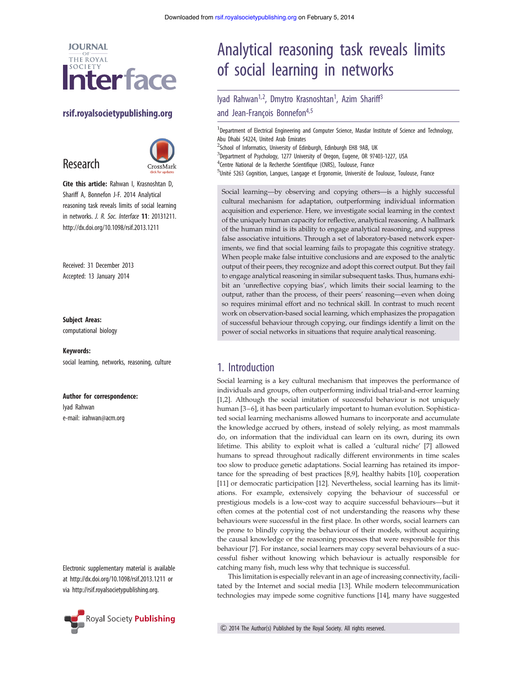

## rsif.royalsocietypublishing.org



Cite this article: Rahwan I, Krasnoshtan D, Shariff A, Bonnefon J-F. 2014 Analytical reasoning task reveals limits of social learning in networks. J. R. Soc. Interface 11: 20131211. http://dx.doi.org/10.1098/rsif.2013.1211

Received: 31 December 2013 Accepted: 13 January 2014

#### Subject Areas:

Research

computational biology

Keywords: social learning, networks, reasoning, culture

#### Author for correspondence:

Iyad Rahwan e-mail: irahwan@acm.org

Electronic supplementary material is available at http://dx.doi.org/10.1098/rsif.2013.1211 or via http://rsif.royalsocietypublishing.org.



# Analytical reasoning task reveals limits of social learning in networks

lyad Rahwan<sup>1,2</sup>, Dmytro Krasnoshtan<sup>1</sup>, Azim Shariff<sup>3</sup> and Jean-François Bonnefon<sup>4,5</sup>

<sup>1</sup>Department of Electrical Engineering and Computer Science, Masdar Institute of Science and Technology, Abu Dhabi 54224, United Arab Emirates

<sup>2</sup>School of Informatics, University of Edinburgh, Edinburgh EH8 9AB, UK 3 Department of Psychology, 1277 University of Oregon, Eugene, OR 97403-1227, USA <sup>4</sup> Centre National de la Recherche Scientifique (CNRS), Toulouse, France

<sup>5</sup>Unité 5263 Cognition, Langues, Langage et Ergonomie, Université de Toulouse, Toulouse, France

Social learning—by observing and copying others—is a highly successful cultural mechanism for adaptation, outperforming individual information acquisition and experience. Here, we investigate social learning in the context of the uniquely human capacity for reflective, analytical reasoning. A hallmark of the human mind is its ability to engage analytical reasoning, and suppress false associative intuitions. Through a set of laboratory-based network experiments, we find that social learning fails to propagate this cognitive strategy. When people make false intuitive conclusions and are exposed to the analytic output of their peers, they recognize and adopt this correct output. But they fail to engage analytical reasoning in similar subsequent tasks. Thus, humans exhibit an 'unreflective copying bias', which limits their social learning to the output, rather than the process, of their peers' reasoning—even when doing so requires minimal effort and no technical skill. In contrast to much recent work on observation-based social learning, which emphasizes the propagation of successful behaviour through copying, our findings identify a limit on the power of social networks in situations that require analytical reasoning.

# 1. Introduction

Social learning is a key cultural mechanism that improves the performance of individuals and groups, often outperforming individual trial-and-error learning [1,2]. Although the social imitation of successful behaviour is not uniquely human [3–6], it has been particularly important to human evolution. Sophisticated social learning mechanisms allowed humans to incorporate and accumulate the knowledge accrued by others, instead of solely relying, as most mammals do, on information that the individual can learn on its own, during its own lifetime. This ability to exploit what is called a 'cultural niche' [7] allowed humans to spread throughout radically different environments in time scales too slow to produce genetic adaptations. Social learning has retained its importance for the spreading of best practices [8,9], healthy habits [10], cooperation [11] or democratic participation [12]. Nevertheless, social learning has its limitations. For example, extensively copying the behaviour of successful or prestigious models is a low-cost way to acquire successful behaviours—but it often comes at the potential cost of not understanding the reasons why these behaviours were successful in the first place. In other words, social learners can be prone to blindly copying the behaviour of their models, without acquiring the causal knowledge or the reasoning processes that were responsible for this behaviour [7]. For instance, social learners may copy several behaviours of a successful fisher without knowing which behaviour is actually responsible for catching many fish, much less why that technique is successful.

This limitation is especially relevant in an age of increasing connectivity, facilitated by the Internet and social media [13]. While modern telecommunication technologies may impede some cognitive functions [14], many have suggested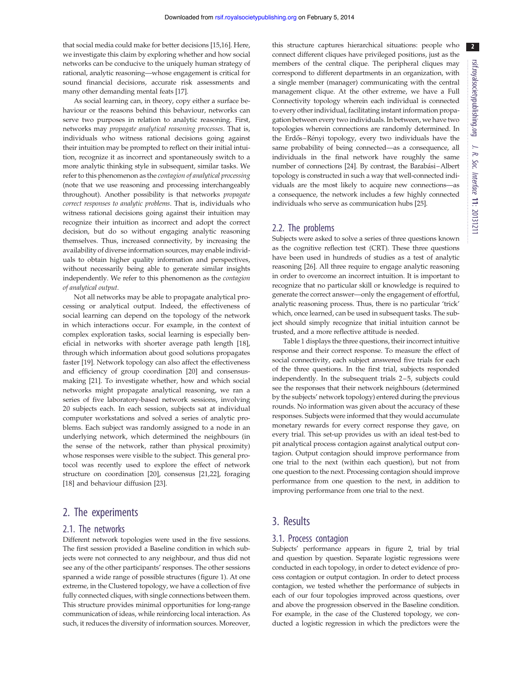that social media could make for better decisions [15,16]. Here, we investigate this claim by exploring whether and how social networks can be conducive to the uniquely human strategy of rational, analytic reasoning—whose engagement is critical for sound financial decisions, accurate risk assessments and many other demanding mental feats [17].

As social learning can, in theory, copy either a surface behaviour or the reasons behind this behaviour, networks can serve two purposes in relation to analytic reasoning. First, networks may propagate analytical reasoning processes. That is, individuals who witness rational decisions going against their intuition may be prompted to reflect on their initial intuition, recognize it as incorrect and spontaneously switch to a more analytic thinking style in subsequent, similar tasks. We refer to this phenomenon as the contagion of analytical processing (note that we use reasoning and processing interchangeably throughout). Another possibility is that networks propagate correct responses to analytic problems. That is, individuals who witness rational decisions going against their intuition may recognize their intuition as incorrect and adopt the correct decision, but do so without engaging analytic reasoning themselves. Thus, increased connectivity, by increasing the availability of diverse information sources, may enable individuals to obtain higher quality information and perspectives, without necessarily being able to generate similar insights independently. We refer to this phenomenon as the contagion of analytical output.

Not all networks may be able to propagate analytical processing or analytical output. Indeed, the effectiveness of social learning can depend on the topology of the network in which interactions occur. For example, in the context of complex exploration tasks, social learning is especially beneficial in networks with shorter average path length [18], through which information about good solutions propagates faster [19]. Network topology can also affect the effectiveness and efficiency of group coordination [20] and consensusmaking [21]. To investigate whether, how and which social networks might propagate analytical reasoning, we ran a series of five laboratory-based network sessions, involving 20 subjects each. In each session, subjects sat at individual computer workstations and solved a series of analytic problems. Each subject was randomly assigned to a node in an underlying network, which determined the neighbours (in the sense of the network, rather than physical proximity) whose responses were visible to the subject. This general protocol was recently used to explore the effect of network structure on coordination [20], consensus [21,22], foraging [18] and behaviour diffusion [23].

# 2. The experiments

## 2.1. The networks

Different network topologies were used in the five sessions. The first session provided a Baseline condition in which subjects were not connected to any neighbour, and thus did not see any of the other participants' responses. The other sessions spanned a wide range of possible structures (figure 1). At one extreme, in the Clustered topology, we have a collection of five fully connected cliques, with single connections between them. This structure provides minimal opportunities for long-range communication of ideas, while reinforcing local interaction. As such, it reduces the diversity of information sources. Moreover, this structure captures hierarchical situations: people who connect different cliques have privileged positions, just as the members of the central clique. The peripheral cliques may correspond to different departments in an organization, with a single member (manager) communicating with the central management clique. At the other extreme, we have a Full Connectivity topology wherein each individual is connected to every other individual, facilitating instant information propagation between every two individuals. In between, we have two topologies wherein connections are randomly determined. In the Erdős–Rényi topology, every two individuals have the same probability of being connected—as a consequence, all individuals in the final network have roughly the same number of connections [24]. By contrast, the Barabási-Albert topology is constructed in such a way that well-connected individuals are the most likely to acquire new connections—as a consequence, the network includes a few highly connected individuals who serve as communication hubs [25].

## 2.2. The problems

Subjects were asked to solve a series of three questions known as the cognitive reflection test (CRT). These three questions have been used in hundreds of studies as a test of analytic reasoning [26]. All three require to engage analytic reasoning in order to overcome an incorrect intuition. It is important to recognize that no particular skill or knowledge is required to generate the correct answer—only the engagement of effortful, analytic reasoning process. Thus, there is no particular 'trick' which, once learned, can be used in subsequent tasks. The subject should simply recognize that initial intuition cannot be trusted, and a more reflective attitude is needed.

Table 1 displays the three questions, their incorrect intuitive response and their correct response. To measure the effect of social connectivity, each subject answered five trials for each of the three questions. In the first trial, subjects responded independently. In the subsequent trials 2–5, subjects could see the responses that their network neighbours (determined by the subjects' network topology) entered during the previous rounds. No information was given about the accuracy of these responses. Subjects were informed that they would accumulate monetary rewards for every correct response they gave, on every trial. This set-up provides us with an ideal test-bed to pit analytical process contagion against analytical output contagion. Output contagion should improve performance from one trial to the next (within each question), but not from one question to the next. Processing contagion should improve performance from one question to the next, in addition to improving performance from one trial to the next.

# 3. Results

#### 3.1. Process contagion

Subjects' performance appears in figure 2, trial by trial and question by question. Separate logistic regressions were conducted in each topology, in order to detect evidence of process contagion or output contagion. In order to detect process contagion, we tested whether the performance of subjects in each of our four topologies improved across questions, over and above the progression observed in the Baseline condition. For example, in the case of the Clustered topology, we conducted a logistic regression in which the predictors were the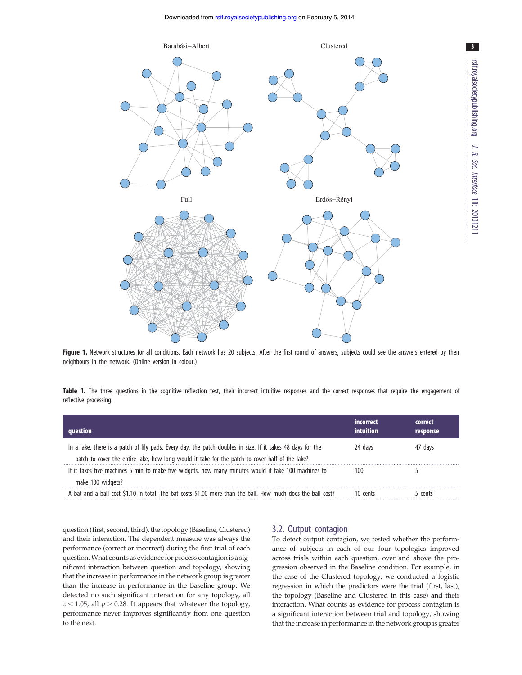

Figure 1. Network structures for all conditions. Each network has 20 subjects. After the first round of answers, subjects could see the answers entered by their neighbours in the network. (Online version in colour.)

Table 1. The three questions in the cognitive reflection test, their incorrect intuitive responses and the correct responses that require the engagement of reflective processing.

| question                                                                                                                                                                                                       | incorrect<br>intuition | correct<br>response |
|----------------------------------------------------------------------------------------------------------------------------------------------------------------------------------------------------------------|------------------------|---------------------|
| In a lake, there is a patch of lily pads. Every day, the patch doubles in size. If it takes 48 days for the<br>patch to cover the entire lake, how long would it take for the patch to cover half of the lake? | 24 days                | 47 days             |
| If it takes five machines 5 min to make five widgets, how many minutes would it take 100 machines to<br>make 100 widgets?                                                                                      | 100                    |                     |
| A bat and a ball cost \$1.10 in total. The bat costs \$1.00 more than the ball. How much does the ball cost?                                                                                                   | 10 cents               | 5 cents             |

question (first, second, third), the topology (Baseline, Clustered) and their interaction. The dependent measure was always the performance (correct or incorrect) during the first trial of each question.What counts as evidence for process contagion is a significant interaction between question and topology, showing that the increase in performance in the network group is greater than the increase in performance in the Baseline group. We detected no such significant interaction for any topology, all  $z < 1.05$ , all  $p > 0.28$ . It appears that whatever the topology, performance never improves significantly from one question to the next.

## 3.2. Output contagion

To detect output contagion, we tested whether the performance of subjects in each of our four topologies improved across trials within each question, over and above the progression observed in the Baseline condition. For example, in the case of the Clustered topology, we conducted a logistic regression in which the predictors were the trial (first, last), the topology (Baseline and Clustered in this case) and their interaction. What counts as evidence for process contagion is a significant interaction between trial and topology, showing that the increase in performance in the network group is greater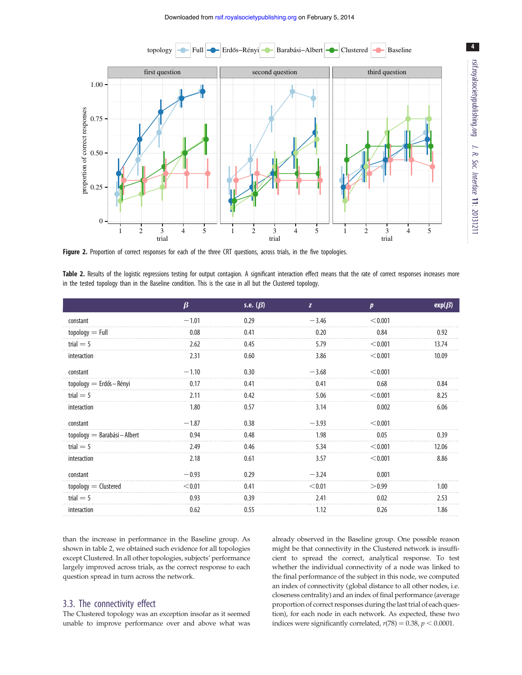

Figure 2. Proportion of correct responses for each of the three CRT questions, across trials, in the five topologies.

Table 2. Results of the logistic regressions testing for output contagion. A significant interaction effect means that the rate of correct responses increases more in the tested topology than in the Baseline condition. This is the case in all but the Clustered topology.

|                                | β       | s.e. $(\beta)$ | z       | $\boldsymbol{p}$ | $exp(\beta)$ |
|--------------------------------|---------|----------------|---------|------------------|--------------|
| constant                       | $-1.01$ | 0.29           | $-3.46$ | < 0.001          |              |
| $topology = Full$              | 0.08    | 0.41           | 0.20    | 0.84             | 0.92         |
| trial $= 5$                    | 2.62    | 0.45           | 5.79    | < 0.001          | 13.74        |
| interaction                    | 2.31    | 0.60           | 3.86    | < 0.001          | 10.09        |
| constant                       | $-1.10$ | 0.30           | $-3.68$ | < 0.001          |              |
| topology = Erdős-Rényi         | 0.17    | 0.41           | 0.41    | 0.68             | 0.84         |
| trial $= 5$                    | 2.11    | 0.42           | 5.06    | < 0.001          | 8.25         |
| interaction                    | 1.80    | 0.57           | 3.14    | 0.002            | 6.06         |
| constant                       | $-1.87$ | 0.38           | $-3.93$ | < 0.001          |              |
| $topology =$ Barabási - Albert | 0.94    | 0.48           | 1.98    | 0.05             | 0.39         |
| trial $= 5$                    | 2.49    | 0.46           | 5.34    | < 0.001          | 12.06        |
| interaction                    | 2.18    | 0.61           | 3.57    | < 0.001          | 8.86         |
| constant                       | $-0.93$ | 0.29           | $-3.24$ | 0.001            |              |
| $topology = Clustered$         | < 0.01  | 0.41           | < 0.01  | > 0.99           | 1.00         |
| trial $= 5$                    | 0.93    | 0.39           | 7.41    | 0.02             | 2.53         |
| interaction                    | 0.62    | 0.55           | 1.12    | 0.26             | 1.86         |

than the increase in performance in the Baseline group. As shown in table 2, we obtained such evidence for all topologies except Clustered. In all other topologies, subjects' performance largely improved across trials, as the correct response to each question spread in turn across the network.

## 3.3. The connectivity effect

The Clustered topology was an exception insofar as it seemed unable to improve performance over and above what was already observed in the Baseline group. One possible reason might be that connectivity in the Clustered network is insufficient to spread the correct, analytical response. To test whether the individual connectivity of a node was linked to the final performance of the subject in this node, we computed an index of connectivity (global distance to all other nodes, i.e. closeness centrality) and an index of final performance (average proportion of correct responses during the last trial of each question), for each node in each network. As expected, these two indices were significantly correlated,  $r(78) = 0.38$ ,  $p < 0.0001$ .

4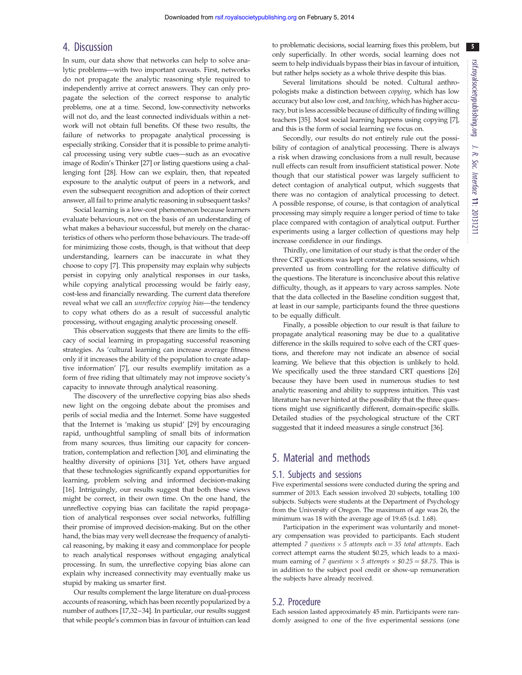# 4. Discussion

In sum, our data show that networks can help to solve analytic problems—with two important caveats. First, networks do not propagate the analytic reasoning style required to independently arrive at correct answers. They can only propagate the selection of the correct response to analytic problems, one at a time. Second, low-connectivity networks will not do, and the least connected individuals within a network will not obtain full benefits. Of these two results, the failure of networks to propagate analytical processing is especially striking. Consider that it is possible to prime analytical processing using very subtle cues—such as an evocative image of Rodin's Thinker [27] or listing questions using a challenging font [28]. How can we explain, then, that repeated exposure to the analytic output of peers in a network, and even the subsequent recognition and adoption of their correct answer, all fail to prime analytic reasoning in subsequent tasks?

Social learning is a low-cost phenomenon because learners evaluate behaviours, not on the basis of an understanding of what makes a behaviour successful, but merely on the characteristics of others who perform those behaviours. The trade-off for minimizing those costs, though, is that without that deep understanding, learners can be inaccurate in what they choose to copy [7]. This propensity may explain why subjects persist in copying only analytical responses in our tasks, while copying analytical processing would be fairly easy, cost-less and financially rewarding. The current data therefore reveal what we call an unreflective copying bias—the tendency to copy what others do as a result of successful analytic processing, without engaging analytic processing oneself.

This observation suggests that there are limits to the efficacy of social learning in propagating successful reasoning strategies. As 'cultural learning can increase average fitness only if it increases the ability of the population to create adaptive information' [7], our results exemplify imitation as a form of free riding that ultimately may not improve society's capacity to innovate through analytical reasoning.

The discovery of the unreflective copying bias also sheds new light on the ongoing debate about the promises and perils of social media and the Internet. Some have suggested that the Internet is 'making us stupid' [29] by encouraging rapid, unthoughtful sampling of small bits of information from many sources, thus limiting our capacity for concentration, contemplation and reflection [30], and eliminating the healthy diversity of opinions [31]. Yet, others have argued that these technologies significantly expand opportunities for learning, problem solving and informed decision-making [16]. Intriguingly, our results suggest that both these views might be correct, in their own time. On the one hand, the unreflective copying bias can facilitate the rapid propagation of analytical responses over social networks, fulfilling their promise of improved decision-making. But on the other hand, the bias may very well decrease the frequency of analytical reasoning, by making it easy and commonplace for people to reach analytical responses without engaging analytical processing. In sum, the unreflective copying bias alone can explain why increased connectivity may eventually make us stupid by making us smarter first.

Our results complement the large literature on dual-process accounts of reasoning, which has been recently popularized by a number of authors [17,32–34]. In particular, our results suggest that while people's common bias in favour of intuition can lead to problematic decisions, social learning fixes this problem, but only superficially. In other words, social learning does not seem to help individuals bypass their bias in favour of intuition, but rather helps society as a whole thrive despite this bias.

Several limitations should be noted. Cultural anthropologists make a distinction between copying, which has low accuracy but also low cost, and teaching, which has higher accuracy, but is less accessible because of difficulty of finding willing teachers [35]. Most social learning happens using copying [7], and this is the form of social learning we focus on.

Secondly, our results do not entirely rule out the possibility of contagion of analytical processing. There is always a risk when drawing conclusions from a null result, because null effects can result from insufficient statistical power. Note though that our statistical power was largely sufficient to detect contagion of analytical output, which suggests that there was no contagion of analytical processing to detect. A possible response, of course, is that contagion of analytical processing may simply require a longer period of time to take place compared with contagion of analytical output. Further experiments using a larger collection of questions may help increase confidence in our findings.

Thirdly, one limitation of our study is that the order of the three CRT questions was kept constant across sessions, which prevented us from controlling for the relative difficulty of the questions. The literature is inconclusive about this relative difficulty, though, as it appears to vary across samples. Note that the data collected in the Baseline condition suggest that, at least in our sample, participants found the three questions to be equally difficult.

Finally, a possible objection to our result is that failure to propagate analytical reasoning may be due to a qualitative difference in the skills required to solve each of the CRT questions, and therefore may not indicate an absence of social learning. We believe that this objection is unlikely to hold. We specifically used the three standard CRT questions [26] because they have been used in numerous studies to test analytic reasoning and ability to suppress intuition. This vast literature has never hinted at the possibility that the three questions might use significantly different, domain-specific skills. Detailed studies of the psychological structure of the CRT suggested that it indeed measures a single construct [36].

# 5. Material and methods

#### 5.1. Subjects and sessions

Five experimental sessions were conducted during the spring and summer of 2013. Each session involved 20 subjects, totalling 100 subjects. Subjects were students at the Department of Psychology from the University of Oregon. The maximum of age was 26, the minimum was 18 with the average age of 19.65 (s.d. 1.68).

Participation in the experiment was voluntarily and monetary compensation was provided to participants. Each student attempted 7 questions  $\times$  5 attempts each = 35 total attempts. Each correct attempt earns the student \$0.25, which leads to a maximum earning of 7 questions  $\times$  5 attempts  $\times$  \$0.25 = \$8.75. This is in addition to the subject pool credit or show-up remuneration the subjects have already received.

#### 5.2. Procedure

Each session lasted approximately 45 min. Participants were randomly assigned to one of the five experimental sessions (one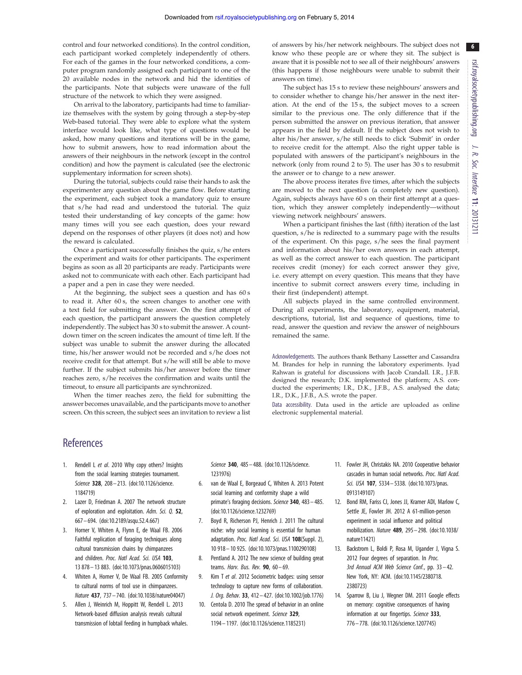control and four networked conditions). In the control condition, each participant worked completely independently of others. For each of the games in the four networked conditions, a computer program randomly assigned each participant to one of the 20 available nodes in the network and hid the identities of the participants. Note that subjects were unaware of the full structure of the network to which they were assigned.

On arrival to the laboratory, participants had time to familiarize themselves with the system by going through a step-by-step Web-based tutorial. They were able to explore what the system interface would look like, what type of questions would be asked, how many questions and iterations will be in the game, how to submit answers, how to read information about the answers of their neighbours in the network (except in the control condition) and how the payment is calculated (see the electronic supplementary information for screen shots).

During the tutorial, subjects could raise their hands to ask the experimenter any question about the game flow. Before starting the experiment, each subject took a mandatory quiz to ensure that s/he had read and understood the tutorial. The quiz tested their understanding of key concepts of the game: how many times will you see each question, does your reward depend on the responses of other players (it does not) and how the reward is calculated.

Once a participant successfully finishes the quiz, s/he enters the experiment and waits for other participants. The experiment begins as soon as all 20 participants are ready. Participants were asked not to communicate with each other. Each participant had a paper and a pen in case they were needed.

At the beginning, the subject sees a question and has 60 s to read it. After 60 s, the screen changes to another one with a text field for submitting the answer. On the first attempt of each question, the participant answers the question completely independently. The subject has 30 s to submit the answer. A countdown timer on the screen indicates the amount of time left. If the subject was unable to submit the answer during the allocated time, his/her answer would not be recorded and s/he does not receive credit for that attempt. But s/he will still be able to move further. If the subject submits his/her answer before the timer reaches zero, s/he receives the confirmation and waits until the timeout, to ensure all participants are synchronized.

When the timer reaches zero, the field for submitting the answer becomes unavailable, and the participants move to another screen. On this screen, the subject sees an invitation to review a list of answers by his/her network neighbours. The subject does not know who these people are or where they sit. The subject is aware that it is possible not to see all of their neighbours' answers (this happens if those neighbours were unable to submit their answers on time).

The subject has 15 s to review these neighbours' answers and to consider whether to change his/her answer in the next iteration. At the end of the 15 s, the subject moves to a screen similar to the previous one. The only difference that if the person submitted the answer on previous iteration, that answer appears in the field by default. If the subject does not wish to alter his/her answer, s/he still needs to click 'Submit' in order to receive credit for the attempt. Also the right upper table is populated with answers of the participant's neighbours in the network (only from round 2 to 5). The user has 30 s to resubmit the answer or to change to a new answer.

The above process iterates five times, after which the subjects are moved to the next question (a completely new question). Again, subjects always have 60 s on their first attempt at a question, which they answer completely independently—without viewing network neighbours' answers.

When a participant finishes the last (fifth) iteration of the last question, s/he is redirected to a summary page with the results of the experiment. On this page, s/he sees the final payment and information about his/her own answers in each attempt, as well as the correct answer to each question. The participant receives credit (money) for each correct answer they give, i.e. every attempt on every question. This means that they have incentive to submit correct answers every time, including in their first (independent) attempt.

All subjects played in the same controlled environment. During all experiments, the laboratory, equipment, material, descriptions, tutorial, list and sequence of questions, time to read, answer the question and review the answer of neighbours remained the same.

Acknowledgements. The authors thank Bethany Lassetter and Cassandra M. Brandes for help in running the laboratory experiments. Iyad Rahwan is grateful for discussions with Jacob Crandall. I.R., J.F.B. designed the research; D.K. implemented the platform; A.S. conducted the experiments; I.R., D.K., J.F.B., A.S. analysed the data; I.R., D.K., J.F.B., A.S. wrote the paper.

Data accessibility. Data used in the article are uploaded as online electronic supplemental material.

# **References**

- 1. Rendell L et al. 2010 Why copy others? Insights from the social learning strategies tournament. Science 328, 208-213. (doi:10.1126/science. 1184719)
- 2. Lazer D, Friedman A. 2007 The network structure of exploration and exploitation. Adm. Sci. Q. 52, 667– 694. (doi:10.2189/asqu.52.4.667)
- 3. Horner V, Whiten A, Flynn E, de Waal FB. 2006 Faithful replication of foraging techniques along cultural transmission chains by chimpanzees and children. Proc. Natl Acad. Sci. USA 103, 13 878– 13 883. (doi:10.1073/pnas.0606015103)
- 4. Whiten A, Horner V, De Waal FB. 2005 Conformity to cultural norms of tool use in chimpanzees. Nature 437, 737 – 740. (doi:10.1038/nature04047)
- 5. Allen J, Weinrich M, Hoppitt W, Rendell L. 2013 Network-based diffusion analysis reveals cultural transmission of lobtail feeding in humpback whales.

Science 340, 485-488. (doi:10.1126/science. 1231976)

- 6. van de Waal E, Borgeaud C, Whiten A. 2013 Potent social learning and conformity shape a wild primate's foraging decisions. Science 340, 483– 485. (doi:10.1126/science.1232769)
- 7. Boyd R, Richerson PJ, Henrich J. 2011 The cultural niche: why social learning is essential for human adaptation. Proc. Natl Acad. Sci. USA 108(Suppl. 2), 10 918– 10 925. (doi:10.1073/pnas.1100290108)
- 8. Pentland A. 2012 The new science of building great teams. Harv. Bus. Rev.  $90, 60 - 69$ .
- 9. Kim T et al. 2012 Sociometric badges: using sensor technology to capture new forms of collaboration. J. Org. Behav. 33, 412 – 427. (doi:10.1002/job.1776)
- 10. Centola D. 2010 The spread of behavior in an online social network experiment. Science 329, 1194– 1197. (doi:10.1126/science.1185231)
- 11. Fowler JH, Christakis NA. 2010 Cooperative behavior cascades in human social networks. Proc. Natl Acad. Sci. USA 107, 5334-5338. (doi:10.1073/pnas. 0913149107)
- 12. Bond RM, Fariss CJ, Jones JJ, Kramer ADI, Marlow C, Settle JE, Fowler JH. 2012 A 61-million-person experiment in social influence and political mobilization. Nature 489, 295– 298. (doi:10.1038/ nature11421)
- 13. Backstrom L, Boldi P, Rosa M, Ugander J, Vigna S. 2012 Four degrees of separation. In Proc. 3rd Annual ACM Web Science Conf., pp. 33 – 42. New York, NY: ACM. (doi:10.1145/2380718. 2380723)
- 14. Sparrow B, Liu J, Wegner DM. 2011 Google effects on memory: cognitive consequences of having information at our fingertips. Science 333, 776– 778. (doi:10.1126/science.1207745)